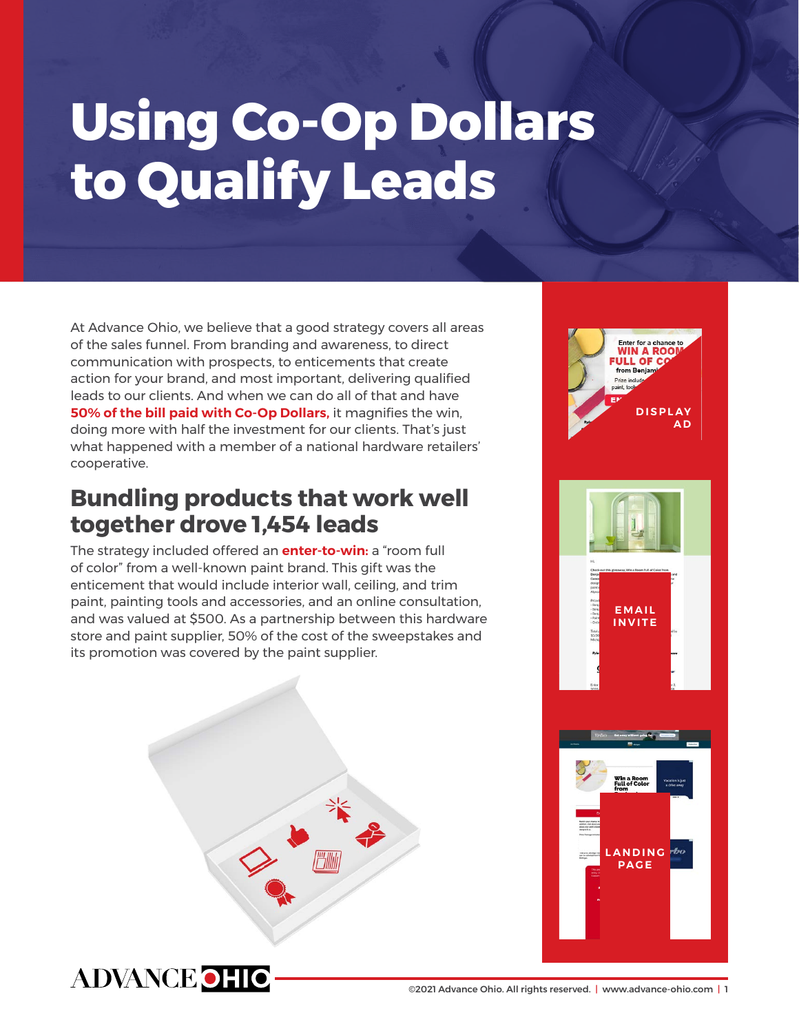## **Using Co-Op Dollars to Qualify Leads**

At Advance Ohio, we believe that a good strategy covers all areas of the sales funnel. From branding and awareness, to direct communication with prospects, to enticements that create action for your brand, and most important, delivering qualified leads to our clients. And when we can do all of that and have **[50% of the bill paid with Co-Op Dollars,](https://www.mlivemediagroup.com/putting-your-co-op-dollars-to-work/)** it magnifies the win, doing more with half the investment for our clients. That's just what happened with a member of a national hardware retailers' cooperative.

## **Bundling products that work well together drove 1,454 leads**

The strategy included offered an **[enter-to-win:](https://www.mlivemediagroup.com/case_studies/enter-to-win-offers-valuable-lead-generation-opportunity/)** a "room full of color" from a well-known paint brand. This gift was the enticement that would include interior wall, ceiling, and trim paint, painting tools and accessories, and an online consultation, and was valued at \$500. As a partnership between this hardware store and paint supplier, 50% of the cost of the sweepstakes and its promotion was covered by the paint supplier.